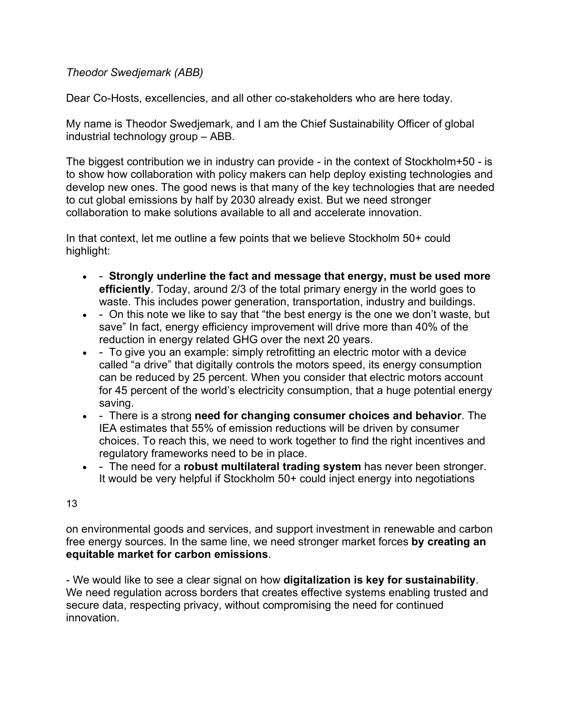## *Theodor Swedjemark (ABB)*

Dear Co-Hosts, excellencies, and all other co-stakeholders who are here today.

My name is Theodor Swedjemark, and I am the Chief Sustainability Officer of global industrial technology group – ABB.

The biggest contribution we in industry can provide - in the context of Stockholm+50 - is to show how collaboration with policy makers can help deploy existing technologies and develop new ones. The good news is that many of the key technologies that are needed to cut global emissions by half by 2030 already exist. But we need stronger collaboration to make solutions available to all and accelerate innovation.

In that context, let me outline a few points that we believe Stockholm 50+ could highlight:

- - **Strongly underline the fact and message that energy, must be used more efficiently**. Today, around 2/3 of the total primary energy in the world goes to waste. This includes power generation, transportation, industry and buildings.
- - On this note we like to say that "the best energy is the one we don't waste, but save" In fact, energy efficiency improvement will drive more than 40% of the reduction in energy related GHG over the next 20 years.
- - To give you an example: simply retrofitting an electric motor with a device called "a drive" that digitally controls the motors speed, its energy consumption can be reduced by 25 percent. When you consider that electric motors account for 45 percent of the world's electricity consumption, that a huge potential energy saving.
- - There is a strong **need for changing consumer choices and behavior**. The IEA estimates that 55% of emission reductions will be driven by consumer choices. To reach this, we need to work together to find the right incentives and regulatory frameworks need to be in place.
- - The need for a **robust multilateral trading system** has never been stronger. It would be very helpful if Stockholm 50+ could inject energy into negotiations

## 13

on environmental goods and services, and support investment in renewable and carbon free energy sources. In the same line, we need stronger market forces **by creating an equitable market for carbon emissions**.

- We would like to see a clear signal on how **digitalization is key for sustainability**. We need regulation across borders that creates effective systems enabling trusted and secure data, respecting privacy, without compromising the need for continued innovation.